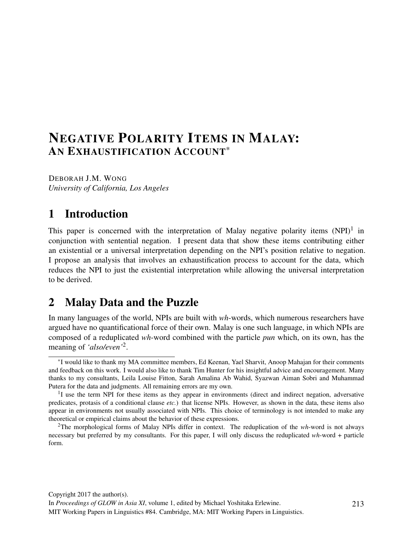# NEGATIVE POLARITY ITEMS IN MALAY: AN EXHAUSTIFICATION ACCOUNT\*

DEBORAH J.M. WONG *University of California, Los Angeles*

# 1 Introduction

This paper is concerned with the interpretation of Malay negative polarity items  $(NPI)^1$  in conjunction with sentential negation. I present data that show these items contributing either an existential or a universal interpretation depending on the NPI's position relative to negation. I propose an analysis that involves an exhaustification process to account for the data, which reduces the NPI to just the existential interpretation while allowing the universal interpretation to be derived.

# 2 Malay Data and the Puzzle

In many languages of the world, NPIs are built with *wh*-words, which numerous researchers have argued have no quantificational force of their own. Malay is one such language, in which NPIs are composed of a reduplicated *wh*-word combined with the particle *pun* which, on its own, has the meaning of *'also/even'*<sup>2</sup> .

<sup>\*</sup>I would like to thank my MA committee members, Ed Keenan, Yael Sharvit, Anoop Mahajan for their comments and feedback on this work. I would also like to thank Tim Hunter for his insightful advice and encouragement. Many thanks to my consultants, Leila Louise Fitton, Sarah Amalina Ab Wahid, Syazwan Aiman Sobri and Muhammad Putera for the data and judgments. All remaining errors are my own.

<sup>&</sup>lt;sup>1</sup>I use the term NPI for these items as they appear in environments (direct and indirect negation, adversative predicates, protasis of a conditional clause *etc.*) that license NPIs. However, as shown in the data, these items also appear in environments not usually associated with NPIs. This choice of terminology is not intended to make any theoretical or empirical claims about the behavior of these expressions.

<sup>2</sup>The morphological forms of Malay NPIs differ in context. The reduplication of the *wh*-word is not always necessary but preferred by my consultants. For this paper, I will only discuss the reduplicated *wh*-word + particle form.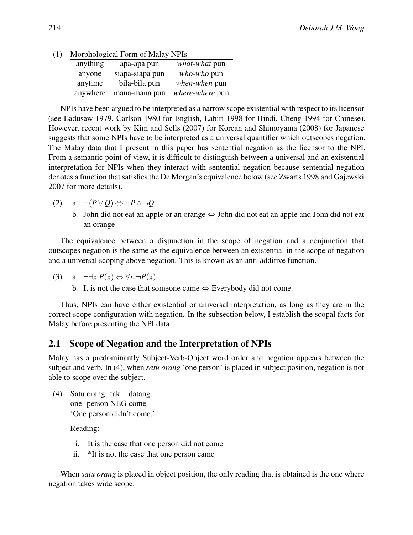#### (1) Morphological Form of Malay NPIs

| anything | apa-apa pun     | what-what pun   |
|----------|-----------------|-----------------|
| anyone   | siapa-siapa pun | who-who pun     |
| anytime  | bila-bila pun   | when-when pun   |
| anywhere | mana-mana pun   | where-where pun |

NPIs have been argued to be interpreted as a narrow scope existential with respect to its licensor (see Ladusaw 1979, Carlson 1980 for English, Lahiri 1998 for Hindi, Cheng 1994 for Chinese). However, recent work by Kim and Sells (2007) for Korean and Shimoyama (2008) for Japanese suggests that some NPIs have to be interpreted as a universal quantifier which outscopes negation. The Malay data that I present in this paper has sentential negation as the licensor to the NPI. From a semantic point of view, it is difficult to distinguish between a universal and an existential interpretation for NPIs when they interact with sentential negation because sentential negation denotes a function that satisfies the De Morgan's equivalence below (see Zwarts 1998 and Gajewski 2007 for more details).

- (2) a. *¬*(*P∨Q*) *⇔ ¬P∧ ¬Q*
	- b. John did not eat an apple or an orange *⇔* John did not eat an apple and John did not eat an orange

The equivalence between a disjunction in the scope of negation and a conjunction that outscopes negation is the same as the equivalence between an existential in the scope of negation and a universal scoping above negation. This is known as an anti-additive function.

$$
(3) \quad \text{a. } \neg \exists x. P(x) \Leftrightarrow \forall x. \neg P(x)
$$

b. It is not the case that someone came *⇔* Everybody did not come

Thus, NPIs can have either existential or universal interpretation, as long as they are in the correct scope configuration with negation. In the subsection below, I establish the scopal facts for Malay before presenting the NPI data.

### 2.1 Scope of Negation and the Interpretation of NPIs

Malay has a predominantly Subject-Verb-Object word order and negation appears between the subject and verb. In (4), when *satu orang* 'one person' is placed in subject position, negation is not able to scope over the subject.

(4) Satu orang tak datang. one person NEG come 'One person didn't come.'

Reading:

- i. It is the case that one person did not come
- ii. \*It is not the case that one person came

When *satu orang* is placed in object position, the only reading that is obtained is the one where negation takes wide scope.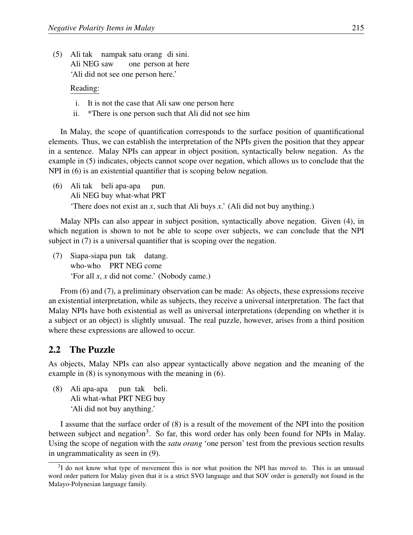(5) Ali tak nampak satu orang di sini. Ali NEG saw one person at here 'Ali did not see one person here.'

Reading:

- i. It is not the case that Ali saw one person here
- ii. \*There is one person such that Ali did not see him

In Malay, the scope of quantification corresponds to the surface position of quantificational elements. Thus, we can establish the interpretation of the NPIs given the position that they appear in a sentence. Malay NPIs can appear in object position, syntactically below negation. As the example in (5) indicates, objects cannot scope over negation, which allows us to conclude that the NPI in (6) is an existential quantifier that is scoping below negation.

(6) Ali tak beli apa-apa Ali NEG buy what-what PRT pun. 'There does not exist an *x*, such that Ali buys *x*.' (Ali did not buy anything.)

Malay NPIs can also appear in subject position, syntactically above negation. Given (4), in which negation is shown to not be able to scope over subjects, we can conclude that the NPI subject in (7) is a universal quantifier that is scoping over the negation.

(7) Siapa-siapa pun tak datang. who-who PRT NEG come 'For all *x*, *x* did not come.' (Nobody came.)

From (6) and (7), a preliminary observation can be made: As objects, these expressions receive an existential interpretation, while as subjects, they receive a universal interpretation. The fact that Malay NPIs have both existential as well as universal interpretations (depending on whether it is a subject or an object) is slightly unusual. The real puzzle, however, arises from a third position where these expressions are allowed to occur.

#### 2.2 The Puzzle

As objects, Malay NPIs can also appear syntactically above negation and the meaning of the example in (8) is synonymous with the meaning in (6).

(8) Ali apa-apa Ali what-what PRT NEG buy pun tak beli. 'Ali did not buy anything.'

I assume that the surface order of (8) is a result of the movement of the NPI into the position between subject and negation<sup>3</sup>. So far, this word order has only been found for NPIs in Malay. Using the scope of negation with the *satu orang* 'one person' test from the previous section results in ungrammaticality as seen in (9).

<sup>&</sup>lt;sup>3</sup>I do not know what type of movement this is nor what position the NPI has moved to. This is an unusual word order pattern for Malay given that it is a strict SVO language and that SOV order is generally not found in the Malayo-Polynesian language family.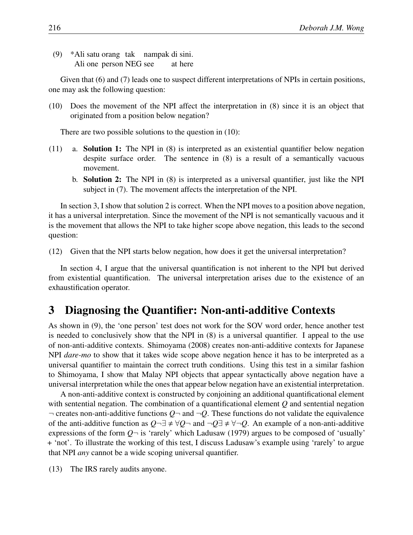(9) \*Ali satu orang tak nampak di sini. Ali one person NEG see at here

Given that (6) and (7) leads one to suspect different interpretations of NPIs in certain positions, one may ask the following question:

(10) Does the movement of the NPI affect the interpretation in (8) since it is an object that originated from a position below negation?

There are two possible solutions to the question in (10):

- (11) a. Solution 1: The NPI in (8) is interpreted as an existential quantifier below negation despite surface order. The sentence in (8) is a result of a semantically vacuous movement.
	- b. Solution 2: The NPI in (8) is interpreted as a universal quantifier, just like the NPI subject in (7). The movement affects the interpretation of the NPI.

In section 3, I show that solution 2 is correct. When the NPI moves to a position above negation, it has a universal interpretation. Since the movement of the NPI is not semantically vacuous and it is the movement that allows the NPI to take higher scope above negation, this leads to the second question:

(12) Given that the NPI starts below negation, how does it get the universal interpretation?

In section 4, I argue that the universal quantification is not inherent to the NPI but derived from existential quantification. The universal interpretation arises due to the existence of an exhaustification operator.

## 3 Diagnosing the Quantifier: Non-anti-additive Contexts

As shown in (9), the 'one person' test does not work for the SOV word order, hence another test is needed to conclusively show that the NPI in (8) is a universal quantifier. I appeal to the use of non-anti-additive contexts. Shimoyama (2008) creates non-anti-additive contexts for Japanese NPI *dare-mo* to show that it takes wide scope above negation hence it has to be interpreted as a universal quantifier to maintain the correct truth conditions. Using this test in a similar fashion to Shimoyama, I show that Malay NPI objects that appear syntactically above negation have a universal interpretation while the ones that appear below negation have an existential interpretation.

A non-anti-additive context is constructed by conjoining an additional quantificational element with sentential negation. The combination of a quantificational element *Q* and sentential negation *¬* creates non-anti-additive functions *Q¬* and *¬Q*. These functions do not validate the equivalence of the anti-additive function as  $Q \neg \exists \neq \forall Q \neg$  and  $\neg Q \exists \neq \forall \neg Q$ . An example of a non-anti-additive expressions of the form  $Q\rightarrow$  is 'rarely' which Ladusaw (1979) argues to be composed of 'usually' + 'not'. To illustrate the working of this test, I discuss Ladusaw's example using 'rarely' to argue that NPI *any* cannot be a wide scoping universal quantifier.

(13) The IRS rarely audits anyone.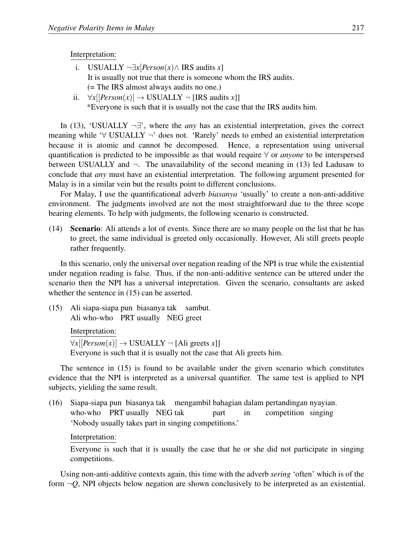#### Interpretation:

- i. USUALLY *¬∃x*[*Person*(*x*)*∧* IRS audits *x*] It is usually not true that there is someone whom the IRS audits. (= The IRS almost always audits no one.)
- ii. *∀x*[[*Person*(*x*)] *→* USUALLY *¬* [IRS audits *x*]] \*Everyone is such that it is usually not the case that the IRS audits him.

In (13), 'USUALLY *¬∃*', where the *any* has an existential interpretation, gives the correct meaning while '*∀* USUALLY *¬*' does not. 'Rarely' needs to embed an existential interpretation because it is atomic and cannot be decomposed. Hence, a representation using universal quantification is predicted to be impossible as that would require *∀* or *anyone* to be interspersed between USUALLY and  $\neg$ . The unavailability of the second meaning in (13) led Ladusaw to conclude that *any* must have an existential interpretation. The following argument presented for Malay is in a similar vein but the results point to different conclusions.

For Malay, I use the quantificational adverb *biasanya* 'usually' to create a non-anti-additive environment. The judgments involved are not the most straightforward due to the three scope bearing elements. To help with judgments, the following scenario is constructed.

(14) Scenario: Ali attends a lot of events. Since there are so many people on the list that he has to greet, the same individual is greeted only occasionally. However, Ali still greets people rather frequently.

In this scenario, only the universal over negation reading of the NPI is true while the existential under negation reading is false. Thus, if the non-anti-additive sentence can be uttered under the scenario then the NPI has a universal intepretation. Given the scenario, consultants are asked whether the sentence in  $(15)$  can be asserted.

(15) Ali siapa-siapa pun biasanya tak sambut. Ali who-who PRT usually NEG greet

Interpretation:

 $\forall x$ [[*Person*(*x*)] → USUALLY ¬ [Ali greets *x*]] Everyone is such that it is usually not the case that Ali greets him.

The sentence in (15) is found to be available under the given scenario which constitutes evidence that the NPI is interpreted as a universal quantifier. The same test is applied to NPI subjects, yielding the same result.

(16) Siapa-siapa pun biasanya tak mengambil bahagian dalam pertandingan nyayian. who-who PRT usually NEG tak part in competition singing 'Nobody usually takes part in singing competitions.'

#### Interpretation:

Everyone is such that it is usually the case that he or she did not participate in singing competitions.

Using non-anti-additive contexts again, this time with the adverb *sering* 'often' which is of the form  $\neg Q$ , NPI objects below negation are shown conclusively to be interpreted as an existential.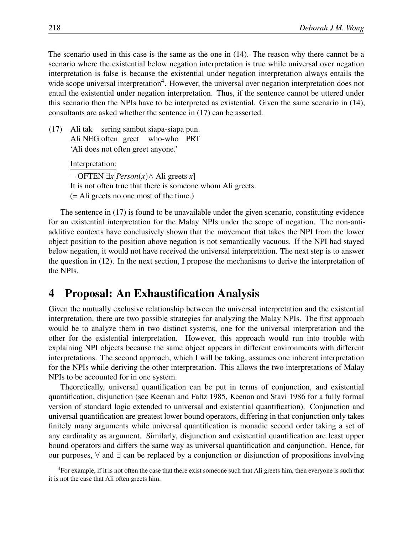The scenario used in this case is the same as the one in (14). The reason why there cannot be a scenario where the existential below negation interpretation is true while universal over negation interpretation is false is because the existential under negation interpretation always entails the wide scope universal interpretation<sup>4</sup>. However, the universal over negation interpretation does not entail the existential under negation interpretation. Thus, if the sentence cannot be uttered under this scenario then the NPIs have to be interpreted as existential. Given the same scenario in (14), consultants are asked whether the sentence in (17) can be asserted.

 $(17)$ Ali NEG often greet tak sering sambut siapa-siapa pun. who-who PRT 'Ali does not often greet anyone.'

Interpretation:

*¬* OFTEN *∃x*[*Person*(*x*)*∧* Ali greets *x*] It is not often true that there is someone whom Ali greets. (= Ali greets no one most of the time.)

The sentence in (17) is found to be unavailable under the given scenario, constituting evidence for an existential interpretation for the Malay NPIs under the scope of negation. The non-antiadditive contexts have conclusively shown that the movement that takes the NPI from the lower object position to the position above negation is not semantically vacuous. If the NPI had stayed below negation, it would not have received the universal interpretation. The next step is to answer the question in (12). In the next section, I propose the mechanisms to derive the interpretation of the NPIs.

## 4 Proposal: An Exhaustification Analysis

Given the mutually exclusive relationship between the universal interpretation and the existential interpretation, there are two possible strategies for analyzing the Malay NPIs. The first approach would be to analyze them in two distinct systems, one for the universal interpretation and the other for the existential interpretation. However, this approach would run into trouble with explaining NPI objects because the same object appears in different environments with different interpretations. The second approach, which I will be taking, assumes one inherent interpretation for the NPIs while deriving the other interpretation. This allows the two interpretations of Malay NPIs to be accounted for in one system.

Theoretically, universal quantification can be put in terms of conjunction, and existential quantification, disjunction (see Keenan and Faltz 1985, Keenan and Stavi 1986 for a fully formal version of standard logic extended to universal and existential quantification). Conjunction and universal quantification are greatest lower bound operators, differing in that conjunction only takes finitely many arguments while universal quantification is monadic second order taking a set of any cardinality as argument. Similarly, disjunction and existential quantification are least upper bound operators and differs the same way as universal quantification and conjunction. Hence, for our purposes, *∀* and *∃* can be replaced by a conjunction or disjunction of propositions involving

<sup>&</sup>lt;sup>4</sup>For example, if it is not often the case that there exist someone such that Ali greets him, then everyone is such that it is not the case that Ali often greets him.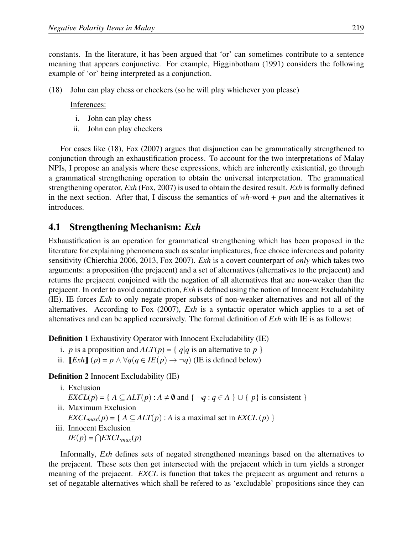constants. In the literature, it has been argued that 'or' can sometimes contribute to a sentence meaning that appears conjunctive. For example, Higginbotham (1991) considers the following example of 'or' being interpreted as a conjunction.

(18) John can play chess or checkers (so he will play whichever you please)

#### Inferences:

- i. John can play chess
- ii. John can play checkers

For cases like (18), Fox (2007) argues that disjunction can be grammatically strengthened to conjunction through an exhaustification process. To account for the two interpretations of Malay NPIs, I propose an analysis where these expressions, which are inherently existential, go through a grammatical strengthening operation to obtain the universal interpretation. The grammatical strengthening operator, *Exh* (Fox, 2007) is used to obtain the desired result. *Exh* is formally defined in the next section. After that, I discuss the semantics of *wh*-word + *pun* and the alternatives it introduces.

### 4.1 Strengthening Mechanism: *Exh*

Exhaustification is an operation for grammatical strengthening which has been proposed in the literature for explaining phenomena such as scalar implicatures, free choice inferences and polarity sensitivity (Chierchia 2006, 2013, Fox 2007). *Exh* is a covert counterpart of *only* which takes two arguments: a proposition (the prejacent) and a set of alternatives (alternatives to the prejacent) and returns the prejacent conjoined with the negation of all alternatives that are non-weaker than the prejacent. In order to avoid contradiction, *Exh* is defined using the notion of Innocent Excludability (IE). IE forces *Exh* to only negate proper subsets of non-weaker alternatives and not all of the alternatives. According to Fox (2007), *Exh* is a syntactic operator which applies to a set of alternatives and can be applied recursively. The formal definition of *Exh* with IE is as follows:

Definition 1 Exhaustivity Operator with Innocent Excludability (IE)

- i. *p* is a proposition and  $ALT(p) = \{q|q$  is an alternative to *p*  $\}$
- ii.  $[Exh] (p) = p \land \forall q (q \in IE(p) \rightarrow \neg q)$  (IE is defined below)

#### Definition 2 Innocent Excludability (IE)

- i. Exclusion *EXCL*(*p*) = {  $A \subseteq ALT(p)$  :  $A \neq \emptyset$  and {  $\neg q : q \in A$  }  $\cup$  {  $p$ } is consistent } ii. Maximum Exclusion
	- *EXCL*<sub>*max*</sub>(*p*) = {  $A \subseteq ALT(p)$  : *A* is a maximal set in *EXCL* (*p*) }
- iii. Innocent Exclusion *IE*( $p$ ) = ∩*EXCL*<sub>*max*</sub>( $p$ )

Informally, *Exh* defines sets of negated strengthened meanings based on the alternatives to the prejacent. These sets then get intersected with the prejacent which in turn yields a stronger meaning of the prejacent. *EXCL* is function that takes the prejacent as argument and returns a set of negatable alternatives which shall be refered to as 'excludable' propositions since they can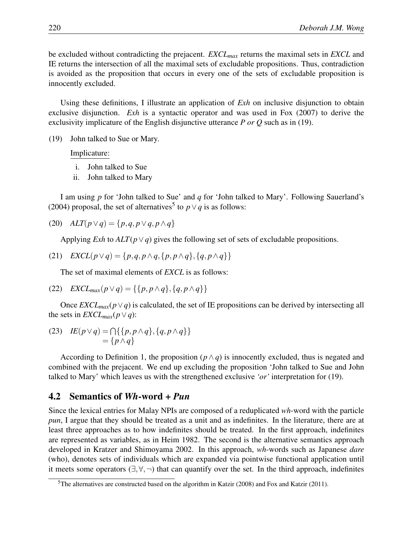be excluded without contradicting the prejacent. *EXCLmax* returns the maximal sets in *EXCL* and IE returns the intersection of all the maximal sets of excludable propositions. Thus, contradiction is avoided as the proposition that occurs in every one of the sets of excludable proposition is innocently excluded.

Using these definitions, I illustrate an application of *Exh* on inclusive disjunction to obtain exclusive disjunction. *Exh* is a syntactic operator and was used in Fox (2007) to derive the exclusivity implicature of the English disjunctive utterance *P or Q* such as in (19).

(19) John talked to Sue or Mary.

Implicature:

- i. John talked to Sue
- ii. John talked to Mary

I am using *p* for 'John talked to Sue' and *q* for 'John talked to Mary'. Following Sauerland's (2004) proposal, the set of alternatives<sup>5</sup> to  $p \lor q$  is as follows:

$$
(20) \quad ALT(p \lor q) = \{p, q, p \lor q, p \land q\}
$$

Applying *Exh* to *ALT*(*p∨q*) gives the following set of sets of excludable propositions.

$$
(21) \quad EXCL(p \lor q) = \{p,q,p \land q,\{p,p \land q\},\{q,p \land q\}\}\
$$

The set of maximal elements of *EXCL* is as follows:

$$
(22) EXCL_{max}(p \lor q) = \{\{p, p \land q\}, \{q, p \land q\}\}\
$$

Once  $EXCL_{max}(p \vee q)$  is calculated, the set of IE propositions can be derived by intersecting all the sets in  $EXCL_{max}(p \vee q)$ :

(23) 
$$
IE(p \lor q) = \bigcap \{ \{p, p \land q\}, \{q, p \land q\} \} = \{p \land q\}
$$

According to Definition 1, the proposition  $(p \land q)$  is innocently excluded, thus is negated and combined with the prejacent. We end up excluding the proposition 'John talked to Sue and John talked to Mary' which leaves us with the strengthened exclusive *'or'* interpretation for (19).

### 4.2 Semantics of *Wh*-word + *Pun*

Since the lexical entries for Malay NPIs are composed of a reduplicated *wh*-word with the particle *pun*, I argue that they should be treated as a unit and as indefinites. In the literature, there are at least three approaches as to how indefinites should be treated. In the first approach, indefinites are represented as variables, as in Heim 1982. The second is the alternative semantics approach developed in Kratzer and Shimoyama 2002. In this approach, *wh*-words such as Japanese *dare* (who), denotes sets of individuals which are expanded via pointwise functional application until it meets some operators (*∃,∀,¬*) that can quantify over the set. In the third approach, indefinites

<sup>5</sup>The alternatives are constructed based on the algorithm in Katzir (2008) and Fox and Katzir (2011).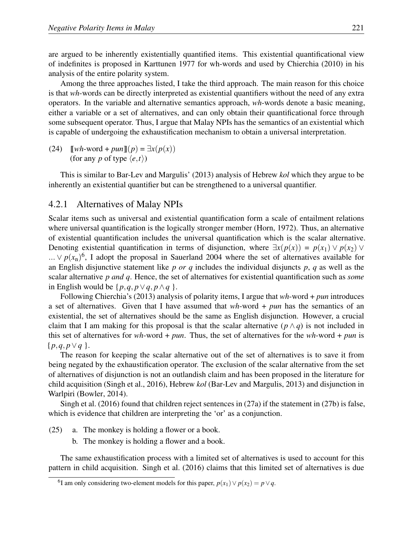are argued to be inherently existentially quantified items. This existential quantificational view of indefinites is proposed in Karttunen 1977 for wh-words and used by Chierchia (2010) in his analysis of the entire polarity system.

Among the three approaches listed, I take the third approach. The main reason for this choice is that *wh*-words can be directly interpreted as existential quantifiers without the need of any extra operators. In the variable and alternative semantics approach, *wh*-words denote a basic meaning, either a variable or a set of alternatives, and can only obtain their quantificational force through some subsequent operator. Thus, I argue that Malay NPIs has the semantics of an existential which is capable of undergoing the exhaustification mechanism to obtain a universal interpretation.

(24)  $\llbracket wh\text{-word} + pun\rrbracket(p) = \exists x(p(x))$ (for any *p* of type  $\langle e, t \rangle$ )

This is similar to Bar-Lev and Margulis' (2013) analysis of Hebrew *kol* which they argue to be inherently an existential quantifier but can be strengthened to a universal quantifier.

### 4.2.1 Alternatives of Malay NPIs

Scalar items such as universal and existential quantification form a scale of entailment relations where universal quantification is the logically stronger member (Horn, 1972). Thus, an alternative of existential quantification includes the universal quantification which is the scalar alternative. Denoting existential quantification in terms of disjunction, where  $\exists x(p(x)) = p(x_1) \vee p(x_2) \vee p(x_3)$  $\ldots \vee p(x_n)^6$ , I adopt the proposal in Sauerland 2004 where the set of alternatives available for an English disjunctive statement like *p or q* includes the individual disjuncts *p*, *q* as well as the scalar alternative *p and q*. Hence, the set of alternatives for existential quantification such as *some* in English would be  $\{p,q,p\lor q,p\land q\}$ .

Following Chierchia's (2013) analysis of polarity items, I argue that *wh*-word + *pun* introduces a set of alternatives. Given that I have assumed that *wh*-word + *pun* has the semantics of an existential, the set of alternatives should be the same as English disjunction. However, a crucial claim that I am making for this proposal is that the scalar alternative  $(p \land q)$  is not included in this set of alternatives for *wh*-word + *pun*. Thus, the set of alternatives for the *wh*-word + *pun* is  $\{p,q,p\vee q\}.$ 

The reason for keeping the scalar alternative out of the set of alternatives is to save it from being negated by the exhaustification operator. The exclusion of the scalar alternative from the set of alternatives of disjunction is not an outlandish claim and has been proposed in the literature for child acquisition (Singh et al., 2016), Hebrew *kol* (Bar-Lev and Margulis, 2013) and disjunction in Warlpiri (Bowler, 2014).

Singh et al. (2016) found that children reject sentences in (27a) if the statement in (27b) is false, which is evidence that children are interpreting the 'or' as a conjunction.

- (25) a. The monkey is holding a flower or a book.
	- b. The monkey is holding a flower and a book.

The same exhaustification process with a limited set of alternatives is used to account for this pattern in child acquisition. Singh et al. (2016) claims that this limited set of alternatives is due

<sup>6</sup> I am only considering two-element models for this paper, *p*(*x*1)*∨ p*(*x*2) = *p∨q*.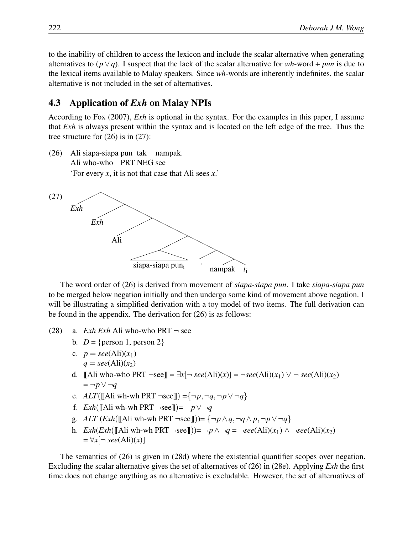to the inability of children to access the lexicon and include the scalar alternative when generating alternatives to  $(p \lor q)$ . I suspect that the lack of the scalar alternative for *wh*-word + *pun* is due to the lexical items available to Malay speakers. Since *wh*-words are inherently indefinites, the scalar alternative is not included in the set of alternatives.

## 4.3 Application of *Exh* on Malay NPIs

According to Fox (2007), *Exh* is optional in the syntax. For the examples in this paper, I assume that *Exh* is always present within the syntax and is located on the left edge of the tree. Thus the tree structure for (26) is in (27):

(26) Ali siapa-siapa pun tak nampak. Ali who-who PRT NEG see 'For every *x*, it is not that case that Ali sees *x*.'



The word order of (26) is derived from movement of *siapa-siapa pun*. I take *siapa-siapa pun* to be merged below negation initially and then undergo some kind of movement above negation. I will be illustrating a simplified derivation with a toy model of two items. The full derivation can be found in the appendix. The derivation for (26) is as follows:

- (28) a. *Exh Exh* Ali who-who PRT  $\neg$  see
	- b.  $D = \{person 1, person 2\}$
	- c.  $p = \text{see}(Ali)(x_1)$  $q = \text{see}(Ali)(x_2)$
	- d. **[[Ali who-who PRT** ¬see]] =  $\exists x$ [¬ *see*(Ali)(*x*)] = ¬see(Ali)(*x*<sub>1</sub>)  $\vee$  ¬ *see*(Ali)(*x*<sub>2</sub>)  $= \neg p \lor \neg q$
	- e. *ALT*( $[AA]$ i wh-wh PRT  $\neg$ see $]$ ) ={ $\neg$ *p*, $\neg$ *q*, $\neg$ *p*  $\vee \neg$ *q*}
	- f.  $Exh([A]$  wh-wh PRT  $\neg$ see $]\Rightarrow \neg p \lor \neg q$
	- g. *ALT*  $(Exh([A\text{Iivwh-wh PRT  $\neg$ see]]) = { $\neg p \land q, \neg q \land p, \neg p \lor \neg q$ }$
	- h. *Exh*(*Exh*(∏Ali wh-wh PRT ¬see∏))=  $\neg p \land \neg q = \neg see(Ali)(x_1) \land \neg see(Ali)(x_2)$  $= \forall x [\neg \; see(Aii)(x)]$

The semantics of (26) is given in (28d) where the existential quantifier scopes over negation. Excluding the scalar alternative gives the set of alternatives of (26) in (28e). Applying *Exh* the first time does not change anything as no alternative is excludable. However, the set of alternatives of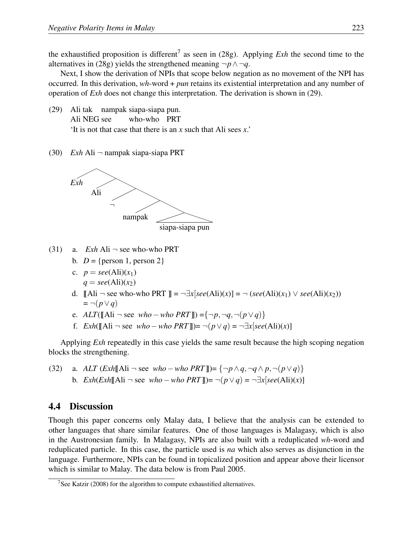the exhaustified proposition is different<sup>7</sup> as seen in (28g). Applying *Exh* the second time to the alternatives in (28g) yields the strengthened meaning  $\neg p \land \neg q$ .

Next, I show the derivation of NPIs that scope below negation as no movement of the NPI has occurred. In this derivation, *wh*-word + *pun* retains its existential interpretation and any number of operation of *Exh* does not change this interpretation. The derivation is shown in (29).

- (29) Ali tak nampak siapa-siapa pun. Ali NEG see who-who PRT 'It is not that case that there is an *x* such that Ali sees *x*.'
- (30) *Exh* Ali *¬* nampak siapa-siapa PRT



- (31) a. *Exh* Ali *¬* see who-who PRT
	- b.  $D = \{person 1, person 2\}$
	- c.  $p = \text{see}(A1i)(x_1)$  $q = \text{see}(Ali)(x_2)$
	- d. **∥Ali**  $\neg$  see who-who PRT ∥ =  $\neg \exists x [see(Ali)(x)] = \neg (see(Ali)(x_1) \lor see(Ali)(x_2))$ = *¬*(*p∨q*)
	- e. *ALT*(<u></u><del></u>√Ali → see *who −who PRT*<sup></sup><sub></sub> $\parallel$ </sub>) = { $\neg p, \neg q, \neg (p \lor q)$ }</del>
	- f. *Exh*(<del>∥Ali  $\neg$  see *who*  $\neg$ *who PRT* ||) =  $\neg$ ( $p \lor q$ ) =  $\neg \exists x$ [*see*(Ali)(*x*)]</del>

Applying *Exh* repeatedly in this case yields the same result because the high scoping negation blocks the strengthening.

(32) a. 
$$
ALT (Exh[[\text{Ali} \neg \text{see } who - who PRT]]) = \{\neg p \land q, \neg q \land p, \neg (p \lor q)\}
$$
 b.  $Exh(Exh[[\text{Ali} \neg \text{see } who - who PRT]]) = \neg (p \lor q) = \neg \exists x [see(\text{Ali})(x)]$ 

### 4.4 Discussion

Though this paper concerns only Malay data, I believe that the analysis can be extended to other languages that share similar features. One of those languages is Malagasy, which is also in the Austronesian family. In Malagasy, NPIs are also built with a reduplicated *wh*-word and reduplicated particle. In this case, the particle used is *na* which also serves as disjunction in the language. Furthermore, NPIs can be found in topicalized position and appear above their licensor which is similar to Malay. The data below is from Paul 2005.

<sup>&</sup>lt;sup>7</sup>See Katzir (2008) for the algorithm to compute exhaustified alternatives.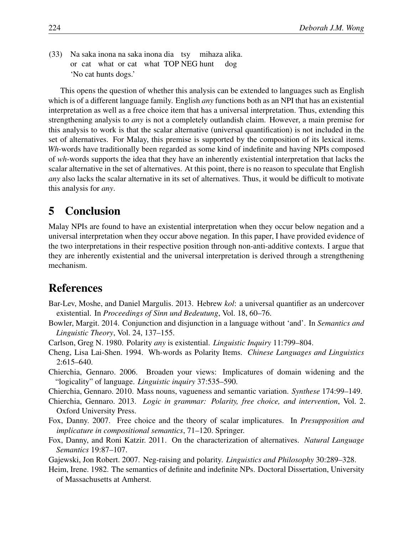(33) Na saka inona na saka inona dia tsy or cat what or cat what TOP NEG hunt mihaza alika. dog 'No cat hunts dogs.'

This opens the question of whether this analysis can be extended to languages such as English which is of a different language family. English *any* functions both as an NPI that has an existential interpretation as well as a free choice item that has a universal interpretation. Thus, extending this strengthening analysis to *any* is not a completely outlandish claim. However, a main premise for this analysis to work is that the scalar alternative (universal quantification) is not included in the set of alternatives. For Malay, this premise is supported by the composition of its lexical items. *Wh*-words have traditionally been regarded as some kind of indefinite and having NPIs composed of *wh*-words supports the idea that they have an inherently existential interpretation that lacks the scalar alternative in the set of alternatives. At this point, there is no reason to speculate that English *any* also lacks the scalar alternative in its set of alternatives. Thus, it would be difficult to motivate this analysis for *any*.

## 5 Conclusion

Malay NPIs are found to have an existential interpretation when they occur below negation and a universal interpretation when they occur above negation. In this paper, I have provided evidence of the two interpretations in their respective position through non-anti-additive contexts. I argue that they are inherently existential and the universal interpretation is derived through a strengthening mechanism.

## References

- Bar-Lev, Moshe, and Daniel Margulis. 2013. Hebrew *kol*: a universal quantifier as an undercover existential. In *Proceedings of Sinn und Bedeutung*, Vol. 18, 60–76.
- Bowler, Margit. 2014. Conjunction and disjunction in a language without 'and'. In *Semantics and Linguistic Theory*, Vol. 24, 137–155.
- Carlson, Greg N. 1980. Polarity *any* is existential. *Linguistic Inquiry* 11:799–804.
- Cheng, Lisa Lai-Shen. 1994. Wh-words as Polarity Items. *Chinese Languages and Linguistics* 2:615–640.
- Chierchia, Gennaro. 2006. Broaden your views: Implicatures of domain widening and the "logicality" of language. *Linguistic inquiry* 37:535–590.
- Chierchia, Gennaro. 2010. Mass nouns, vagueness and semantic variation. *Synthese* 174:99–149.
- Chierchia, Gennaro. 2013. *Logic in grammar: Polarity, free choice, and intervention*, Vol. 2. Oxford University Press.
- Fox, Danny. 2007. Free choice and the theory of scalar implicatures. In *Presupposition and implicature in compositional semantics*, 71–120. Springer.
- Fox, Danny, and Roni Katzir. 2011. On the characterization of alternatives. *Natural Language Semantics* 19:87–107.
- Gajewski, Jon Robert. 2007. Neg-raising and polarity. *Linguistics and Philosophy* 30:289–328.
- Heim, Irene. 1982. The semantics of definite and indefinite NPs. Doctoral Dissertation, University of Massachusetts at Amherst.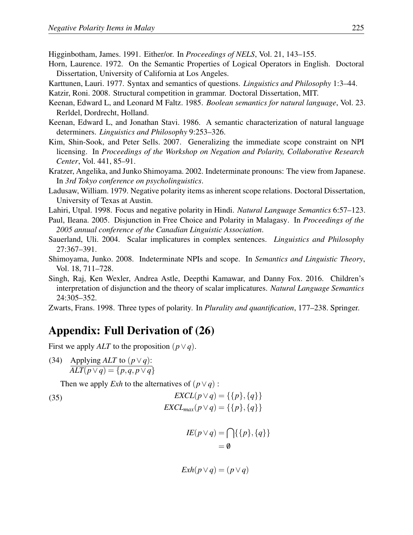Higginbotham, James. 1991. Either/or. In *Proceedings of NELS*, Vol. 21, 143–155.

- Horn, Laurence. 1972. On the Semantic Properties of Logical Operators in English. Doctoral Dissertation, University of California at Los Angeles.
- Karttunen, Lauri. 1977. Syntax and semantics of questions. *Linguistics and Philosophy* 1:3–44.

Katzir, Roni. 2008. Structural competition in grammar. Doctoral Dissertation, MIT.

- Keenan, Edward L, and Leonard M Faltz. 1985. *Boolean semantics for natural language*, Vol. 23. Rerldel, Dordrecht, Holland.
- Keenan, Edward L, and Jonathan Stavi. 1986. A semantic characterization of natural language determiners. *Linguistics and Philosophy* 9:253–326.
- Kim, Shin-Sook, and Peter Sells. 2007. Generalizing the immediate scope constraint on NPI licensing. In *Proceedings of the Workshop on Negation and Polarity, Collaborative Research Center*, Vol. 441, 85–91.
- Kratzer, Angelika, and Junko Shimoyama. 2002. Indeterminate pronouns: The view from Japanese. In *3rd Tokyo conference on psycholinguistics*.
- Ladusaw, William. 1979. Negative polarity items as inherent scope relations. Doctoral Dissertation, University of Texas at Austin.
- Lahiri, Utpal. 1998. Focus and negative polarity in Hindi. *Natural Language Semantics* 6:57–123.
- Paul, Ileana. 2005. Disjunction in Free Choice and Polarity in Malagasy. In *Proceedings of the 2005 annual conference of the Canadian Linguistic Association*.
- Sauerland, Uli. 2004. Scalar implicatures in complex sentences. *Linguistics and Philosophy* 27:367–391.
- Shimoyama, Junko. 2008. Indeterminate NPIs and scope. In *Semantics and Linguistic Theory*, Vol. 18, 711–728.
- Singh, Raj, Ken Wexler, Andrea Astle, Deepthi Kamawar, and Danny Fox. 2016. Children's interpretation of disjunction and the theory of scalar implicatures. *Natural Language Semantics* 24:305–352.

Zwarts, Frans. 1998. Three types of polarity. In *Plurality and quantification*, 177–238. Springer.

## Appendix: Full Derivation of (26)

First we apply *ALT* to the proposition  $(p \lor q)$ .

(34) Applying *ALT* to  $(p \lor q)$ : *ALT*(*p∨q*) = *{p,q, p∨q}*

Then we apply *Exh* to the alternatives of  $(p \lor q)$ :

(35) 
$$
EXCL(p \lor q) = \{\{p\}, \{q\}\}\
$$

$$
EXCL_{max}(p \lor q) = \{\{p\}, \{q\}\}\
$$

$$
IE(p \vee q) = \bigcap \{ \{p\}, \{q\} \}
$$
  
=  $\emptyset$ 

$$
Exh(p \vee q) = (p \vee q)
$$